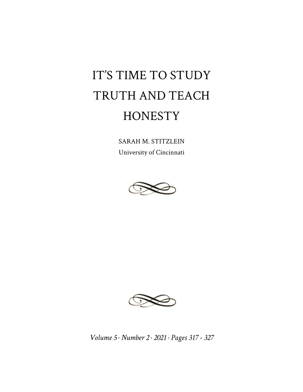## IT'S TIME TO STUDY TRUTH AND TEACH **HONESTY**

SARAH M. STITZLEIN University of Cincinnati





*Volume 5 · Number 2 · 2021 · Pages 317 - 327*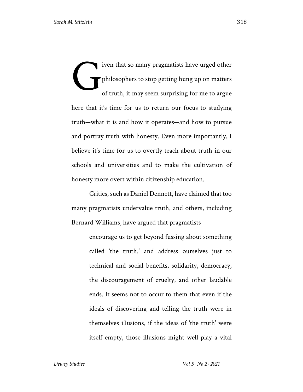iven that so many pragmatists have urged other philosophers to stop getting hung up on matters of truth, it may seem surprising for me to argue here that it's time for us to return our focus to studying truth—what it is and how it operates—and how to pursue and portray truth with honesty. Even more importantly, I believe it's time for us to overtly teach about truth in our schools and universities and to make the cultivation of honesty more overt within citizenship education. G

Critics, such as Daniel Dennett, have claimed that too many pragmatists undervalue truth, and others, including Bernard Williams, have argued that pragmatists

> encourage us to get beyond fussing about something called 'the truth,' and address ourselves just to technical and social benefits, solidarity, democracy, the discouragement of cruelty, and other laudable ends. It seems not to occur to them that even if the ideals of discovering and telling the truth were in themselves illusions, if the ideas of 'the truth' were itself empty, those illusions might well play a vital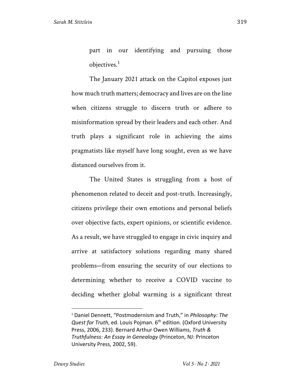part in our identifying and pursuing those objectives.<sup>1</sup>

The January 2021 attack on the Capitol exposes just how much truth matters; democracy and lives are on the line when citizens struggle to discern truth or adhere to misinformation spread by their leaders and each other. And truth plays a significant role in achieving the aims pragmatists like myself have long sought, even as we have distanced ourselves from it.

The United States is struggling from a host of phenomenon related to deceit and post-truth. Increasingly, citizens privilege their own emotions and personal beliefs over objective facts, expert opinions, or scientific evidence. As a result, we have struggled to engage in civic inquiry and arrive at satisfactory solutions regarding many shared problems—from ensuring the security of our elections to determining whether to receive a COVID vaccine to deciding whether global warming is a significant threat

<sup>1</sup> Daniel Dennett, "Postmodernism and Truth," in *Philosophy: The Quest for Truth*, ed. Louis Pojman. 6<sup>th</sup> edition. (Oxford University Press, 2006, 233). Bernard Arthur Owen Williams, *Truth & Truthfulness: An Essay in Genealogy* (Princeton, NJ: Princeton University Press, 2002, 59).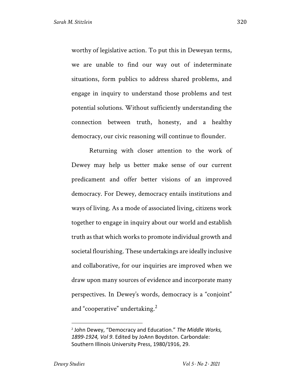worthy of legislative action. To put this in Deweyan terms, we are unable to find our way out of indeterminate situations, form publics to address shared problems, and engage in inquiry to understand those problems and test potential solutions. Without sufficiently understanding the connection between truth, honesty, and a healthy democracy, our civic reasoning will continue to flounder.

Returning with closer attention to the work of Dewey may help us better make sense of our current predicament and offer better visions of an improved democracy. For Dewey, democracy entails institutions and ways of living. As a mode of associated living, citizens work together to engage in inquiry about our world and establish truth as that which works to promote individual growth and societal flourishing. These undertakings are ideally inclusive and collaborative, for our inquiries are improved when we draw upon many sources of evidence and incorporate many perspectives. In Dewey's words, democracy is a "conjoint" and "cooperative" undertaking. $<sup>2</sup>$ </sup>

<sup>2</sup> John Dewey, "Democracy and Education." *The Middle Works, 1899-1924, Vol 9*. Edited by JoAnn Boydston. Carbondale: Southern Illinois University Press, 1980/1916, 29.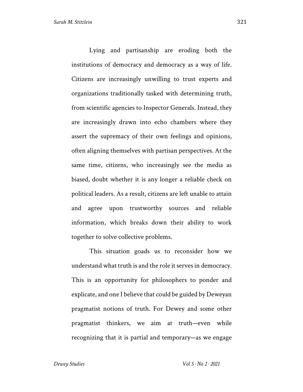Lying and partisanship are eroding both the institutions of democracy and democracy as a way of life. Citizens are increasingly unwilling to trust experts and organizations traditionally tasked with determining truth, from scientific agencies to Inspector Generals. Instead, they are increasingly drawn into echo chambers where they assert the supremacy of their own feelings and opinions, often aligning themselves with partisan perspectives. At the same time, citizens, who increasingly see the media as biased, doubt whether it is any longer a reliable check on political leaders. As a result, citizens are left unable to attain and agree upon trustworthy sources and reliable information, which breaks down their ability to work together to solve collective problems.

This situation goads us to reconsider how we understand what truth is and the role it serves in democracy. This is an opportunity for philosophers to ponder and explicate, and one I believe that could be guided by Deweyan pragmatist notions of truth. For Dewey and some other pragmatist thinkers, we aim at truth—even while recognizing that it is partial and temporary—as we engage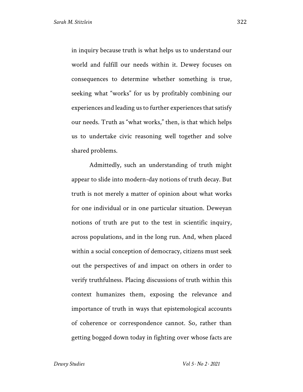in inquiry because truth is what helps us to understand our world and fulfill our needs within it. Dewey focuses on consequences to determine whether something is true, seeking what "works" for us by profitably combining our experiences and leading us to further experiences that satisfy our needs. Truth as "what works," then, is that which helps us to undertake civic reasoning well together and solve shared problems.

Admittedly, such an understanding of truth might appear to slide into modern-day notions of truth decay. But truth is not merely a matter of opinion about what works for one individual or in one particular situation. Deweyan notions of truth are put to the test in scientific inquiry, across populations, and in the long run. And, when placed within a social conception of democracy, citizens must seek out the perspectives of and impact on others in order to verify truthfulness. Placing discussions of truth within this context humanizes them, exposing the relevance and importance of truth in ways that epistemological accounts of coherence or correspondence cannot. So, rather than getting bogged down today in fighting over whose facts are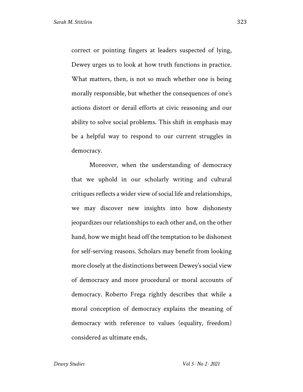correct or pointing fingers at leaders suspected of lying, Dewey urges us to look at how truth functions in practice. What matters, then, is not so much whether one is being morally responsible, but whether the consequences of one's actions distort or derail efforts at civic reasoning and our ability to solve social problems. This shift in emphasis may be a helpful way to respond to our current struggles in democracy.

Moreover, when the understanding of democracy that we uphold in our scholarly writing and cultural critiques reflects a wider view of social life and relationships, we may discover new insights into how dishonesty jeopardizes our relationships to each other and, on the other hand, how we might head off the temptation to be dishonest for self-serving reasons. Scholars may benefit from looking more closely at the distinctions between Dewey's social view of democracy and more procedural or moral accounts of democracy. Roberto Frega rightly describes that while a moral conception of democracy explains the meaning of democracy with reference to values (equality, freedom) considered as ultimate ends,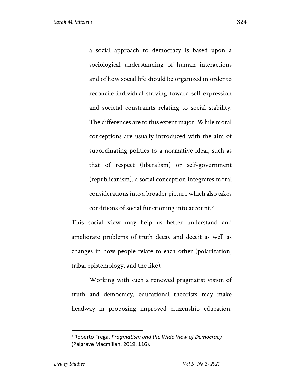a social approach to democracy is based upon a sociological understanding of human interactions and of how social life should be organized in order to reconcile individual striving toward self-expression and societal constraints relating to social stability. The differences are to this extent major. While moral conceptions are usually introduced with the aim of subordinating politics to a normative ideal, such as that of respect (liberalism) or self-government (republicanism), a social conception integrates moral considerations into a broader picture which also takes conditions of social functioning into account. $3$ 

This social view may help us better understand and ameliorate problems of truth decay and deceit as well as changes in how people relate to each other (polarization, tribal epistemology, and the like).

Working with such a renewed pragmatist vision of truth and democracy, educational theorists may make headway in proposing improved citizenship education.

<sup>3</sup> Roberto Frega, *Pragmatism and the Wide View of Democracy* (Palgrave Macmillan, 2019, 116).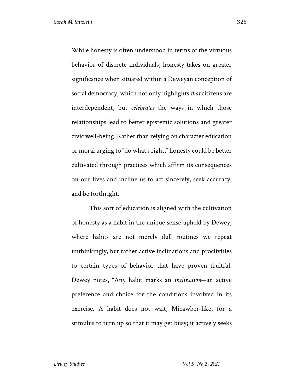While honesty is often understood in terms of the virtuous behavior of discrete individuals, honesty takes on greater significance when situated within a Deweyan conception of social democracy, which not only highlights *that* citizens are interdependent, but *celebrates* the ways in which those relationships lead to better epistemic solutions and greater civic well-being. Rather than relying on character education or moral urging to "do what's right," honesty could be better cultivated through practices which affirm its consequences on our lives and incline us to act sincerely, seek accuracy, and be forthright.

This sort of education is aligned with the cultivation of honesty as a habit in the unique sense upheld by Dewey, where habits are not merely dull routines we repeat unthinkingly, but rather active inclinations and proclivities to certain types of behavior that have proven fruitful. Dewey notes, "Any habit marks an *inclination*—an active preference and choice for the conditions involved in its exercise. A habit does not wait, Micawber-like, for a stimulus to turn up so that it may get busy; it actively seeks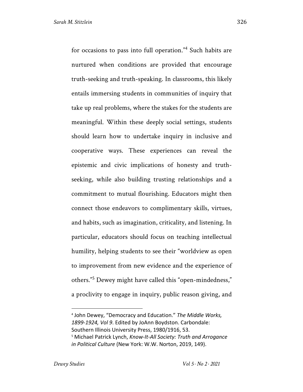for occasions to pass into full operation."<sup>4</sup> Such habits are nurtured when conditions are provided that encourage truth-seeking and truth-speaking. In classrooms, this likely entails immersing students in communities of inquiry that take up real problems, where the stakes for the students are meaningful. Within these deeply social settings, students should learn how to undertake inquiry in inclusive and cooperative ways. These experiences can reveal the epistemic and civic implications of honesty and truthseeking, while also building trusting relationships and a commitment to mutual flourishing. Educators might then connect those endeavors to complimentary skills, virtues, and habits, such as imagination, criticality, and listening. In particular, educators should focus on teaching intellectual

humility, helping students to see their "worldview as open to improvement from new evidence and the experience of others."<sup>5</sup> Dewey might have called this "open-mindedness," a proclivity to engage in inquiry, public reason giving, and

<sup>4</sup> John Dewey, "Democracy and Education." *The Middle Works, 1899-1924, Vol 9*. Edited by JoAnn Boydston. Carbondale: Southern Illinois University Press, 1980/1916, 53. <sup>5</sup> Michael Patrick Lynch, *Know-It-All Society: Truth and Arrogance in Political Culture* (New York: W.W. Norton, 2019, 149).